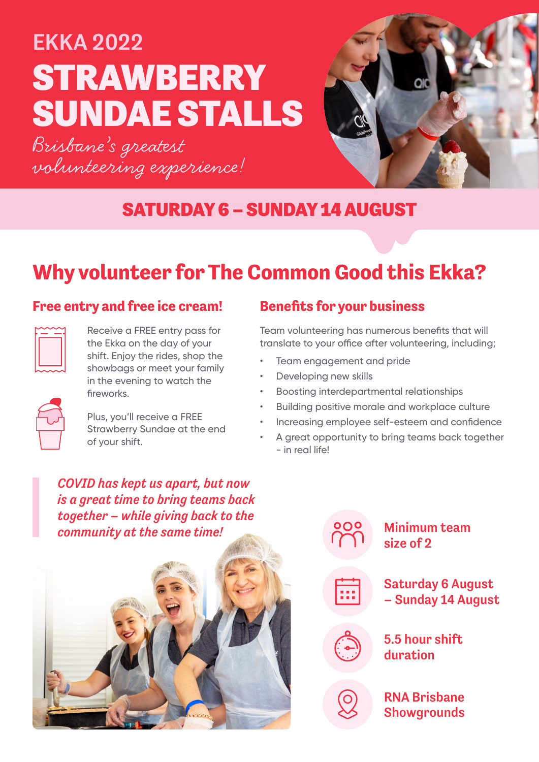# STRAWBERRY SUNDAE STALLS EKKA 2022

Brisbane's greatest volunteering experience!



#### SATURDAY 6 – SUNDAY 14 AUGUST

## **Why volunteer for The Common Good this Ekka?**

#### **Free entry and free ice cream! Benefits for your business**

Receive a FREE entry pass for the Ekka on the day of your shift. Enjoy the rides, shop the showbags or meet your family in the evening to watch the fireworks.

Plus, you'll receive a FREE Strawberry Sundae at the end of your shift.

Team volunteering has numerous benefits that will translate to your office after volunteering, including;

- Team engagement and pride
- Developing new skills
- Boosting interdepartmental relationships
- Building positive morale and workplace culture
- Increasing employee self-esteem and confidence
- A great opportunity to bring teams back together - in real life!

*COVID has kept us apart, but now is a great time to bring teams back together – while giving back to the community at the same time!*





**Showgrounds**